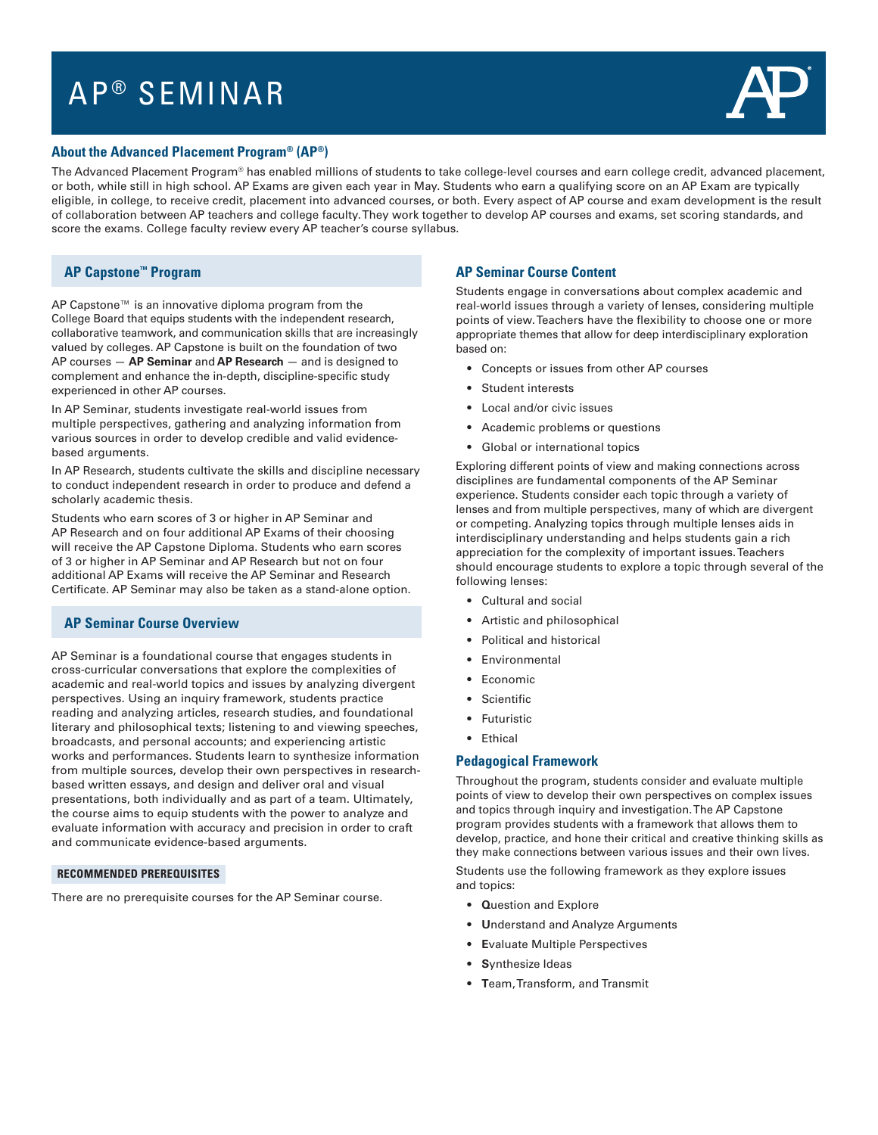# AP ® SEMINAR



### **About the Advanced Placement Program® (AP®)**

The Advanced Placement Program® has enabled millions of students to take college-level courses and earn college credit, advanced placement, or both, while still in high school. AP Exams are given each year in May. Students who earn a qualifying score on an AP Exam are typically eligible, in college, to receive credit, placement into advanced courses, or both. Every aspect of AP course and exam development is the result of collaboration between AP teachers and college faculty. They work together to develop AP courses and exams, set scoring standards, and score the exams. College faculty review every AP teacher's course syllabus.

# **AP Capstone™ Program**

AP Capstone™ is an innovative diploma program from the College Board that equips students with the independent research, collaborative teamwork, and communication skills that are increasingly valued by colleges. AP Capstone is built on the foundation of two AP courses — **AP Seminar** and **AP Research** — and is designed to complement and enhance the in-depth, discipline-specific study experienced in other AP courses.

In AP Seminar, students investigate real-world issues from multiple perspectives, gathering and analyzing information from various sources in order to develop credible and valid evidencebased arguments.

In AP Research, students cultivate the skills and discipline necessary to conduct independent research in order to produce and defend a scholarly academic thesis.

Students who earn scores of 3 or higher in AP Seminar and AP Research and on four additional AP Exams of their choosing will receive the AP Capstone Diploma. Students who earn scores of 3 or higher in AP Seminar and AP Research but not on four additional AP Exams will receive the AP Seminar and Research Certificate. AP Seminar may also be taken as a stand-alone option.

#### **AP Seminar Course Overview**

AP Seminar is a foundational course that engages students in cross-curricular conversations that explore the complexities of academic and real-world topics and issues by analyzing divergent perspectives. Using an inquiry framework, students practice reading and analyzing articles, research studies, and foundational literary and philosophical texts; listening to and viewing speeches, broadcasts, and personal accounts; and experiencing artistic works and performances. Students learn to synthesize information from multiple sources, develop their own perspectives in researchbased written essays, and design and deliver oral and visual presentations, both individually and as part of a team. Ultimately, the course aims to equip students with the power to analyze and evaluate information with accuracy and precision in order to craft and communicate evidence-based arguments.

#### **RECOMMENDED PREREQUISITES**

There are no prerequisite courses for the AP Seminar course.

## **AP Seminar Course Content**

Students engage in conversations about complex academic and real-world issues through a variety of lenses, considering multiple points of view. Teachers have the flexibility to choose one or more appropriate themes that allow for deep interdisciplinary exploration based on:

- Concepts or issues from other AP courses
- Student interests
- Local and/or civic issues
- Academic problems or questions
- Global or international topics

Exploring different points of view and making connections across disciplines are fundamental components of the AP Seminar experience. Students consider each topic through a variety of lenses and from multiple perspectives, many of which are divergent or competing. Analyzing topics through multiple lenses aids in interdisciplinary understanding and helps students gain a rich appreciation for the complexity of important issues. Teachers should encourage students to explore a topic through several of the following lenses:

- Cultural and social
- Artistic and philosophical
- Political and historical
- Environmental
- Economic
- Scientific
- Futuristic
- Ethical

#### **Pedagogical Framework**

Throughout the program, students consider and evaluate multiple points of view to develop their own perspectives on complex issues and topics through inquiry and investigation. The AP Capstone program provides students with a framework that allows them to develop, practice, and hone their critical and creative thinking skills as they make connections between various issues and their own lives.

Students use the following framework as they explore issues and topics:

- **Q**uestion and Explore
- **U**nderstand and Analyze Arguments
- **E**valuate Multiple Perspectives
- **S**ynthesize Ideas
- **T**eam, Transform, and Transmit